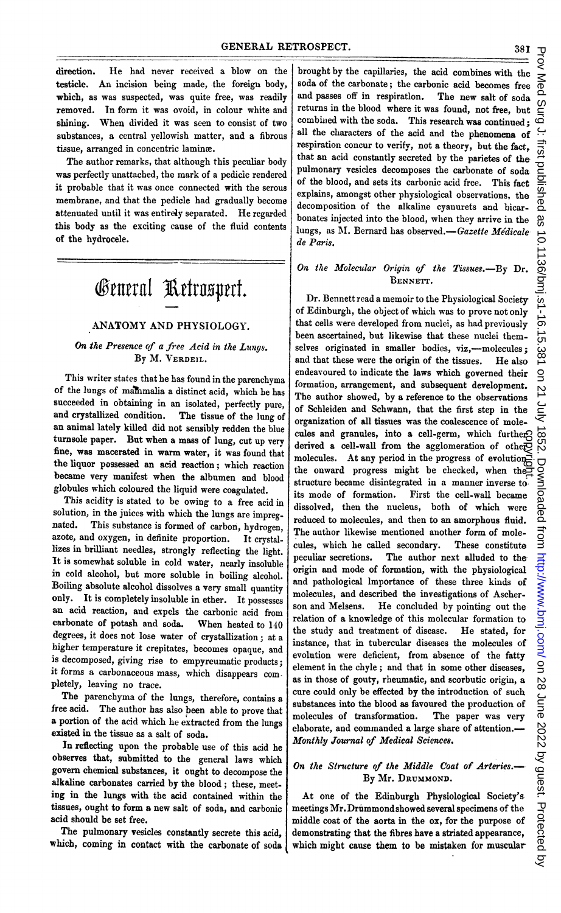direction. He had never received <sup>a</sup> blow on the testicle. An incision being made, the foreign body, which, as was suspected, was quite free, was readily removed. In form it was ovoid, in colour white and shining. When divided it was seen to consist of two substances, a central yellowish matter, and a fibrous tissue, arranged in concentric lamine.

The author remarks, that although this peculiar body was perfectly unattached, the mark of a pedicie rendered it probable that it was once connected with the serous membrane, and that the pedicle had gradually become attenuated until it was entirely separated. He regarded this body as the exciting cause of the fluid contents of the hydrocele.

# General Retrospect.

# ANATOMY AND PHYSIOLOGY.

# On the Presence of <sup>a</sup> free Acid in the Lungs. By M. VERDEIL.

This writer states that he has found in the parenchyma of the lungs of mainmalia a distinct acid, which he has succeeded in obtaining in an isolated, perfectly pure, and crystallized condition. The tissue of the lung of an animal lately killed did not sensibly redden the blue turnsole paper. But when a mass of lung, cut up very fine, was macerated in warm water, it was found that the liquor possessed an acid reaction; which reaction became very manifest when the albumen and blood globules which coloured the liquid were coagulated.

This acidity is stated to be owing to a free acid in solution, in the juices with which the lungs are impreg-<br>nated. This substance is formed of carbon, budgesness This substance is formed of carbon, hydrogen, azote, and oxygen, in definite proportion. It crystallizes in brilliant needles, strongly reflecting the light. It is somewhat soluble in cold water, nearly insoluble in cold alcohol, but more soluble in boiling alcohol. Boiling absolute alcohol dissolves a very small quantity only. It is completely insoluble in ether. It possesses an acid reaction, and expels the carbonic acid from carbonate of potash and soda. When heated to 140 degrees, it does not lose water of crystallization; at a higher temperature it crepitates, becomes opaque, and is decomposed, giving rise to empyreumatic products; it forms a carbonaceous mass, which disappears completely, leaving no trace.

The parenchyma of the lungs, therefore, contains <sup>a</sup> free acid. The author has also been able to prove that a portion of the acid which he extracted from the lungs existed in the tissue as a salt of soda.

In reflecting upon the probable use of this acid he observes that, submitted to the general laws which govern chemical substances, it ought to decompose the alkaline carbonates carried by the blood; these, meeting in the lungs with the acid contained within the tissues, ought to form a new salt of soda, and carbonic acid should be set free.

The pulmonary vesicles constantly secrete this acid, which, coming in contact with the carbonate of soda

brought by the capillaries, the acid combines with the soda of the carbonate; the carbonic acid becomes free and passes off in respiratlon. The new salt of soda returns in the blood where it was found, not free, but combined with the soda. This research was continued: all the characters of the acid and the phenomena of respiration concur to verify, not a theory, but the fact, that an acid constantly secreted by the parietes of the pulmonary vesicles decomposes the carbonate of soda of the blood, and sets its carbonic acid free. This fact explains, amongst other physiological observations, the decomposition of the alkaline cyanurets and bicarbonates injected into the blood, when they arrive in the lungs, as M. Bernard has observed.-Gazette Médicale de Paris.

# On the Molecular Origin of the Tissues.-By Dr. BENNETT.

Dr. Bennett read a memoir to the Physiological Society of Edinburgh, the object of which was to prove not only that cells were developed from nuclei, as had previously been ascertained, but likewise that these nuclei themselves originated in smaller bodies, viz,-molecules; and that these were the origin of the tissues. He also endeavoured to indicate the laws which governed their formation, arrangement, and subsequent development. The author showed, by a reference to the observations of Schleiden and Schwann, that the first step in the organization of all tissues was the coalescence of molecules and granules, into a cell-germ, which further derived a cell-wall from the agglomeration of other molecules. At any period in the progress of evolution the onward progress might be checked, when the structure became disintegrated in a manner inverse to. its mode of formation. First the cell-wall became dissolved, then the nucleus, both of which were reduced to molecules, and then to an amorphous fluid. The author likewise mentioned another form of molecules, which he called secondary. These constitute peculiar secretions. The author next alluded to the The author next alluded to the origin and mode of formation, with the physiological and pathological lmportance of these three kinds of molecules, and described the investigations of Ascherson and Melsens. He concluded by pointing out the relation of a knowledge of this molecular formation to the study and treatment of disease. He stated, for instance, that in tubercular diseases the molecules of evolution were deficient, from absence of the fatty element in the chyle; and that in some other diseases, as in those of gouty, rheumatic, and scorbutic origin, a cure could only be effected by the introduction of such substances into the blood as favoured the production of molecules of transformation. The paper was very elaborate, and commanded a large share of attention.- Monthly Journal of Medical Sciences. cules and granules, into a cell-germ, which furtheres<br>derived a cell-wall from the agglomeration of othety<br>derived in each wand progress of evolution-<br>the onward progress might be checked, when the<br>extracture because disi

# On the Structure of the Middle Coat of Arteries.-By Mr. DRUMMOND.

At one of the Edinburgh Physiological Society's meetings Mr. Drummondshowed several specimens of the middle coat of the aorta in the ox, for the purpose of demonstrating that the fibres have a striated appearance,